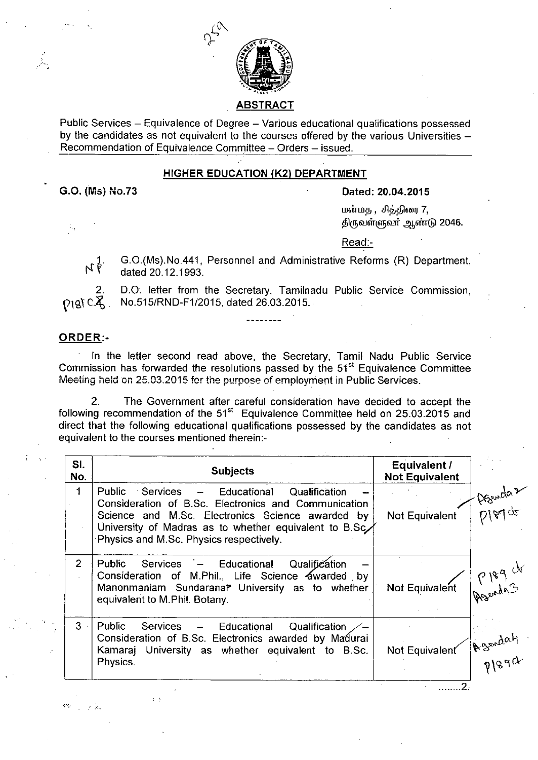

ABSTRACT

Public Services - Equivalence of Degree - Various educational qualifications possessed by the candidates as not equivalent to the courses offered by the various Universities -Recommendation of Equivalence Committee - Orders - issued.

# HIGHER EDUCATION (K2) DEPARTMENT

G.O. (Ms) NO.73

#### Dated: 20.04.2015

மன்மத , சித்திரை 7, திருவள்ளுவர் ஆண்டு 2046.

Read:-

G.0.(Ms).No.441, Personnel and Administrative Reforms (R) Department,  $N\overline{Y}$ dated 20.12.1993.

D.O. letter from the Secretary, Tamilnadu Public Service Commission,  $2\over 191^\circ$ NO.515/RND-F1/2015, dated 26.03.2015.

## ORDER:-

统一公司

. In the letter second read above, the Secretary, Tamil Nadu Public Service Commission has forwarded the resolutions passed by the  $51<sup>st</sup>$  Equivalence Committee Meeting held on 25.03.2015 fer the purpose of employment in Public Services.

2. The Government after careful consideration have decided to accept the following recommendation of the  $51<sup>st</sup>$  Equivalence Committee held on 25.03.2015 and direct that the following educational qualifications possessed by the candidates as not equivalent to the courses mentioned therein:-

| SI.<br>No. | <b>Subjects</b>                                                                                                                                                                                                                                                              | Equivalent /<br><b>Not Equivalent</b> |         |
|------------|------------------------------------------------------------------------------------------------------------------------------------------------------------------------------------------------------------------------------------------------------------------------------|---------------------------------------|---------|
| 1          | <b>Public</b><br>Services<br>- Educational<br>Qualification<br>Consideration of B.Sc. Electronics and Communication<br>Science and M.Sc. Electronics Science awarded by<br>University of Madras as to whether equivalent to B.Sc.<br>Physics and M.Sc. Physics respectively. | Not Equivalent                        | DIBY op |
| 2          | Qualification<br>Services - Educational<br>Public<br>Consideration of M.Phil., Life Science awarded by<br>Manonmaniam Sundaranal University as to whether<br>equivalent to M.Phil. Botany.                                                                                   | Not Equivalent                        | P189 de |
| $3 -$      | Public<br>Services<br>Qualification<br>- Educational<br>Consideration of B.Sc. Electronics awarded by Madurai<br>Kamaraj University as whether equivalent to B.Sc.<br>Physics.                                                                                               | Not Equivalent                        | Pleast  |